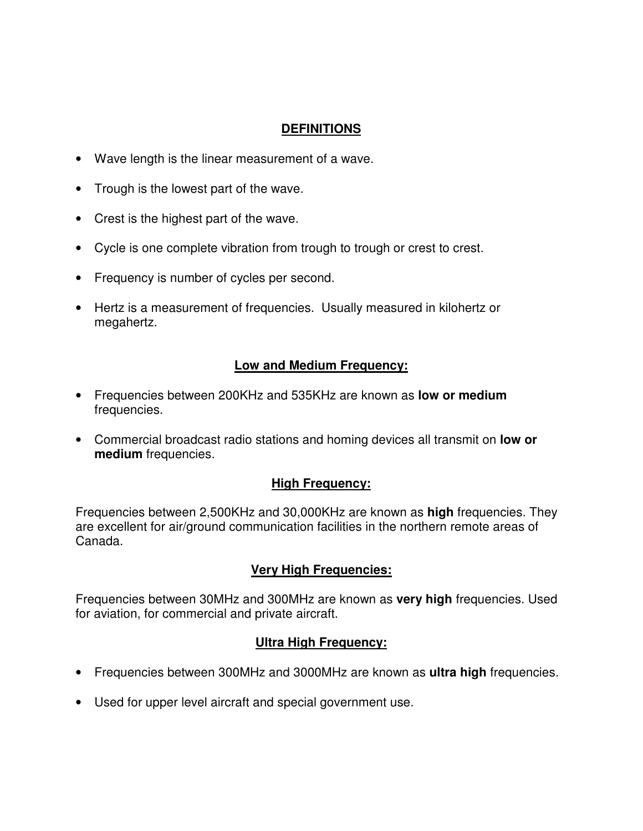### **DEFINITIONS**

- Wave length is the linear measurement of a wave.
- Trough is the lowest part of the wave.
- Crest is the highest part of the wave.
- Cycle is one complete vibration from trough to trough or crest to crest.
- Frequency is number of cycles per second.
- Hertz is a measurement of frequencies. Usually measured in kilohertz or megahertz.

### **Low and Medium Frequency:**

- Frequencies between 200KHz and 535KHz are known as **low or medium** frequencies.
- Commercial broadcast radio stations and homing devices all transmit on **low or medium** frequencies.

### **High Frequency:**

Frequencies between 2,500KHz and 30,000KHz are known as **high** frequencies. They are excellent for air/ground communication facilities in the northern remote areas of Canada.

### **Very High Frequencies:**

Frequencies between 30MHz and 300MHz are known as **very high** frequencies. Used for aviation, for commercial and private aircraft.

### **Ultra High Frequency:**

- Frequencies between 300MHz and 3000MHz are known as **ultra high** frequencies.
- Used for upper level aircraft and special government use.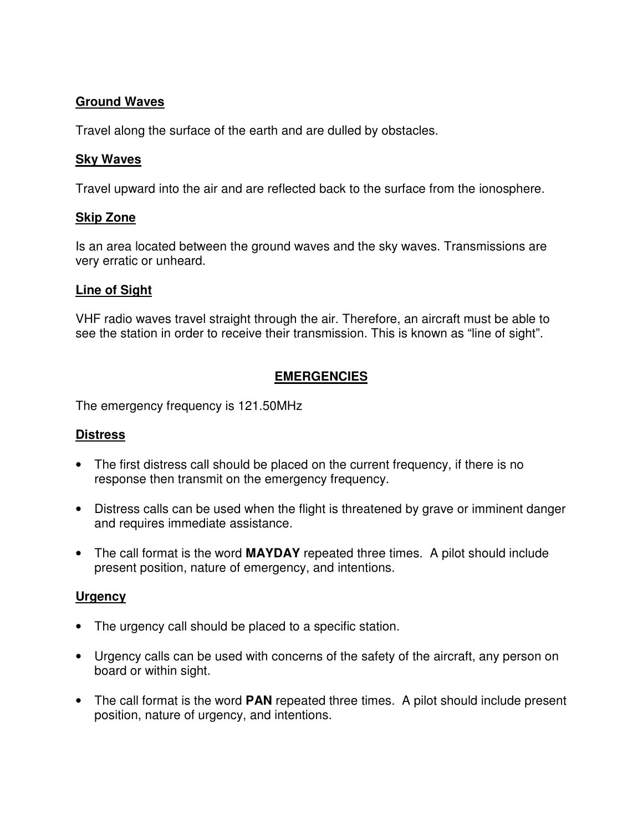### **Ground Waves**

Travel along the surface of the earth and are dulled by obstacles.

#### **Sky Waves**

Travel upward into the air and are reflected back to the surface from the ionosphere.

#### **Skip Zone**

Is an area located between the ground waves and the sky waves. Transmissions are very erratic or unheard.

#### **Line of Sight**

VHF radio waves travel straight through the air. Therefore, an aircraft must be able to see the station in order to receive their transmission. This is known as "line of sight".

# **EMERGENCIES**

The emergency frequency is 121.50MHz

### **Distress**

- The first distress call should be placed on the current frequency, if there is no response then transmit on the emergency frequency.
- Distress calls can be used when the flight is threatened by grave or imminent danger and requires immediate assistance.
- The call format is the word **MAYDAY** repeated three times. A pilot should include present position, nature of emergency, and intentions.

### **Urgency**

- The urgency call should be placed to a specific station.
- Urgency calls can be used with concerns of the safety of the aircraft, any person on board or within sight.
- The call format is the word **PAN** repeated three times. A pilot should include present position, nature of urgency, and intentions.